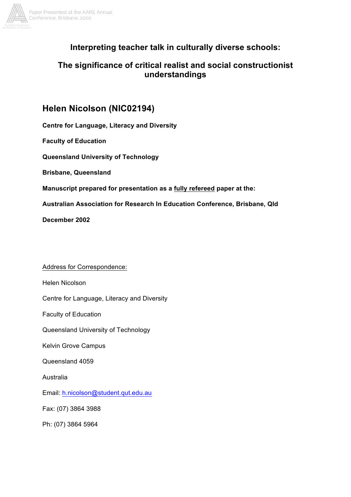

# **Interpreting teacher talk in culturally diverse schools:**

## **The significance of critical realist and social constructionist understandings**

# **Helen Nicolson (NIC02194)**

**Centre for Language, Literacy and Diversity**

**Faculty of Education**

**Queensland University of Technology**

**Brisbane, Queensland**

**Manuscript prepared for presentation as a fully refereed paper at the:**

**Australian Association for Research In Education Conference, Brisbane, Qld**

**December 2002**

## Address for Correspondence:

Helen Nicolson

Centre for Language, Literacy and Diversity

Faculty of Education

Queensland University of Technology

Kelvin Grove Campus

Queensland 4059

Australia

Email: h.nicolson@student.qut.edu.au

Fax: (07) 3864 3988

Ph: (07) 3864 5964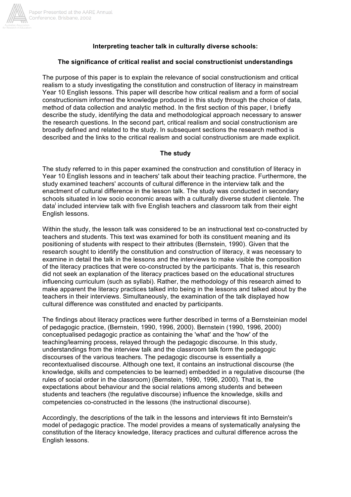

## **Interpreting teacher talk in culturally diverse schools:**

#### **The significance of critical realist and social constructionist understandings**

The purpose of this paper is to explain the relevance of social constructionism and critical realism to a study investigating the constitution and construction of literacy in mainstream Year 10 English lessons. This paper will describe how critical realism and a form of social constructionism informed the knowledge produced in this study through the choice of data, method of data collection and analytic method. In the first section of this paper, I briefly describe the study, identifying the data and methodological approach necessary to answer the research questions. In the second part, critical realism and social constructionism are broadly defined and related to the study. In subsequent sections the research method is described and the links to the critical realism and social constructionism are made explicit.

#### **The study**

The study referred to in this paper examined the construction and constitution of literacy in Year 10 English lessons and in teachers' talk about their teaching practice. Furthermore, the study examined teachers' accounts of cultural difference in the interview talk and the enactment of cultural difference in the lesson talk. The study was conducted in secondary schools situated in low socio economic areas with a culturally diverse student clientele. The data<sup>i</sup> included interview talk with five English teachers and classroom talk from their eight English lessons.

Within the study, the lesson talk was considered to be an instructional text co-constructed by teachers and students. This text was examined for both its constituent meaning and its positioning of students with respect to their attributes (Bernstein, 1990). Given that the research sought to identify the constitution and construction of literacy, it was necessary to examine in detail the talk in the lessons and the interviews to make visible the composition of the literacy practices that were co-constructed by the participants. That is, this research did not seek an explanation of the literacy practices based on the educational structures influencing curriculum (such as syllabi). Rather, the methodology of this research aimed to make apparent the literacy practices talked into being in the lessons and talked about by the teachers in their interviews. Simultaneously, the examination of the talk displayed how cultural difference was constituted and enacted by participants.

The findings about literacy practices were further described in terms of a Bernsteinian model of pedagogic practice, (Bernstein, 1990, 1996, 2000). Bernstein (1990, 1996, 2000) conceptualised pedagogic practice as containing the 'what' and the 'how' of the teaching/learning process, relayed through the pedagogic discourse. In this study, understandings from the interview talk and the classroom talk form the pedagogic discourses of the various teachers. The pedagogic discourse is essentially a recontextualised discourse. Although one text, it contains an instructional discourse (the knowledge, skills and competencies to be learned) embedded in a regulative discourse (the rules of social order in the classroom) (Bernstein, 1990, 1996, 2000). That is, the expectations about behaviour and the social relations among students and between students and teachers (the regulative discourse) influence the knowledge, skills and competencies co-constructed in the lessons (the instructional discourse).

Accordingly, the descriptions of the talk in the lessons and interviews fit into Bernstein's model of pedagogic practice. The model provides a means of systematically analysing the constitution of the literacy knowledge, literacy practices and cultural difference across the English lessons.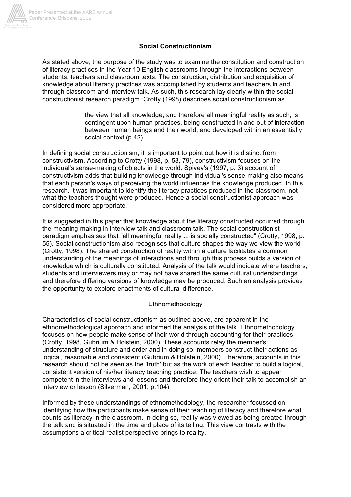

## **Social Constructionism**

As stated above, the purpose of the study was to examine the constitution and construction of literacy practices in the Year 10 English classrooms through the interactions between students, teachers and classroom texts. The construction, distribution and acquisition of knowledge about literacy practices was accomplished by students and teachers in and through classroom and interview talk. As such, this research lay clearly within the social constructionist research paradigm. Crotty (1998) describes social constructionism as

> the view that all knowledge, and therefore all meaningful reality as such, is contingent upon human practices, being constructed in and out of interaction between human beings and their world, and developed within an essentially social context (p.42).

In defining social constructionism, it is important to point out how it is distinct from constructivism. According to Crotty (1998, p. 58, 79), constructivism focuses on the individual's sense-making of objects in the world. Spivey's (1997, p. 3) account of constructivism adds that building knowledge through individual's sense-making also means that each person's ways of perceiving the world influences the knowledge produced. In this research, it was important to identify the literacy practices produced in the classroom, not what the teachers thought were produced. Hence a social constructionist approach was considered more appropriate.

It is suggested in this paper that knowledge about the literacy constructed occurred through the meaning-making in interview talk and classroom talk. The social constructionist paradigm emphasises that "all meaningful reality ... is socially constructed" (Crotty, 1998, p. 55). Social constructionism also recognises that culture shapes the way we view the world (Crotty, 1998). The shared construction of reality within a culture facilitates a common understanding of the meanings of interactions and through this process builds a version of knowledge which is culturally constituted. Analysis of the talk would indicate where teachers, students and interviewers may or may not have shared the same cultural understandings and therefore differing versions of knowledge may be produced. Such an analysis provides the opportunity to explore enactments of cultural difference.

## Ethnomethodology

Characteristics of social constructionism as outlined above, are apparent in the ethnomethodological approach and informed the analysis of the talk. Ethnomethodology focuses on how people make sense of their world through accounting for their practices (Crotty, 1998, Gubrium & Holstein, 2000). These accounts relay the member's understanding of structure and order and in doing so, members construct their actions as logical, reasonable and consistent (Gubrium & Holstein, 2000). Therefore, accounts in this research should not be seen as the 'truth' but as the work of each teacher to build a logical, consistent version of his/her literacy teaching practice. The teachers wish to appear competent in the interviews and lessons and therefore they orient their talk to accomplish an interview or lesson (Silverman, 2001, p.104).

Informed by these understandings of ethnomethodology, the researcher focussed on identifying how the participants make sense of their teaching of literacy and therefore what counts as literacy in the classroom. In doing so, reality was viewed as being created through the talk and is situated in the time and place of its telling. This view contrasts with the assumptions a critical realist perspective brings to reality.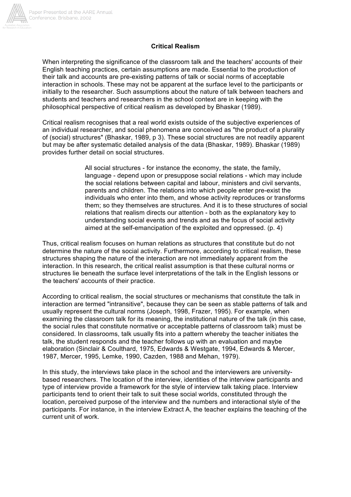

## **Critical Realism**

When interpreting the significance of the classroom talk and the teachers' accounts of their English teaching practices, certain assumptions are made. Essential to the production of their talk and accounts are pre-existing patterns of talk or social norms of acceptable interaction in schools. These may not be apparent at the surface level to the participants or initially to the researcher. Such assumptions about the nature of talk between teachers and students and teachers and researchers in the school context are in keeping with the philosophical perspective of critical realism as developed by Bhaskar (1989).

Critical realism recognises that a real world exists outside of the subjective experiences of an individual researcher, and social phenomena are conceived as "the product of a plurality of (social) structures" (Bhaskar, 1989, p 3). These social structures are not readily apparent but may be after systematic detailed analysis of the data (Bhaskar, 1989). Bhaskar (1989) provides further detail on social structures.

> All social structures - for instance the economy, the state, the family, language - depend upon or presuppose social relations - which may include the social relations between capital and labour, ministers and civil servants, parents and children. The relations into which people enter pre-exist the individuals who enter into them, and whose activity reproduces or transforms them; so they themselves are structures. And it is to these structures of social relations that realism directs our attention - both as the explanatory key to understanding social events and trends and as the focus of social activity aimed at the self-emancipation of the exploited and oppressed. (p. 4)

Thus, critical realism focuses on human relations as structures that constitute but do not determine the nature of the social activity. Furthermore, according to critical realism, these structures shaping the nature of the interaction are not immediately apparent from the interaction. In this research, the critical realist assumption is that these cultural norms or structures lie beneath the surface level interpretations of the talk in the English lessons or the teachers' accounts of their practice.

According to critical realism, the social structures or mechanisms that constitute the talk in interaction are termed "intransitive", because they can be seen as stable patterns of talk and usually represent the cultural norms (Joseph, 1998, Frazer, 1995). For example, when examining the classroom talk for its meaning, the institutional nature of the talk (in this case, the social rules that constitute normative or acceptable patterns of classroom talk) must be considered. In classrooms, talk usually fits into a pattern whereby the teacher initiates the talk, the student responds and the teacher follows up with an evaluation and maybe elaboration (Sinclair & Coulthard, 1975, Edwards & Westgate, 1994, Edwards & Mercer, 1987, Mercer, 1995, Lemke, 1990, Cazden, 1988 and Mehan, 1979).

In this study, the interviews take place in the school and the interviewers are universitybased researchers. The location of the interview, identities of the interview participants and type of interview provide a framework for the style of interview talk taking place. Interview participants tend to orient their talk to suit these social worlds, constituted through the location, perceived purpose of the interview and the numbers and interactional style of the participants. For instance, in the interview Extract A, the teacher explains the teaching of the current unit of work.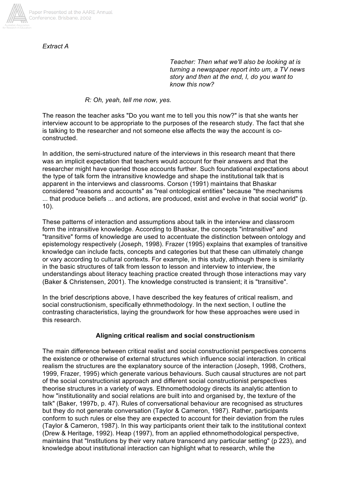

*Extract A*

*Teacher: Then what we'll also be looking at is turning a newspaper report into um, a TV news story and then at the end, I, do you want to know this now?*

## *R: Oh, yeah, tell me now, yes.*

The reason the teacher asks "Do you want me to tell you this now?" is that she wants her interview account to be appropriate to the purposes of the research study. The fact that she is talking to the researcher and not someone else affects the way the account is coconstructed.

In addition, the semi-structured nature of the interviews in this research meant that there was an implicit expectation that teachers would account for their answers and that the researcher might have queried those accounts further. Such foundational expectations about the type of talk form the intransitive knowledge and shape the institutional talk that is apparent in the interviews and classrooms. Corson (1991) maintains that Bhaskar considered "reasons and accounts" as "real ontological entities" because "the mechanisms ... that produce beliefs ... and actions, are produced, exist and evolve in that social world" (p. 10).

These patterns of interaction and assumptions about talk in the interview and classroom form the intransitive knowledge. According to Bhaskar, the concepts "intransitive" and "transitive" forms of knowledge are used to accentuate the distinction between ontology and epistemology respectively (Joseph, 1998). Frazer (1995) explains that examples of transitive knowledge can include facts, concepts and categories but that these can ultimately change or vary according to cultural contexts. For example, in this study, although there is similarity in the basic structures of talk from lesson to lesson and interview to interview, the understandings about literacy teaching practice created through those interactions may vary (Baker & Christensen, 2001). The knowledge constructed is transient; it is "transitive".

In the brief descriptions above, I have described the key features of critical realism, and social constructionism, specifically ethnmethodology. In the next section, I outline the contrasting characteristics, laying the groundwork for how these approaches were used in this research.

## **Aligning critical realism and social constructionism**

The main difference between critical realist and social constructionist perspectives concerns the existence or otherwise of external structures which influence social interaction. In critical realism the structures are the explanatory source of the interaction (Joseph, 1998, Crothers, 1999, Frazer, 1995) which generate various behaviours. Such causal structures are not part of the social constructionist approach and different social constructionist perspectives theorise structures in a variety of ways. Ethnomethodology directs its analytic attention to how "institutionality and social relations are built into and organised by, the texture of the talk" (Baker, 1997b, p. 47). Rules of conversational behaviour are recognised as structures but they do not generate conversation (Taylor & Cameron, 1987). Rather, participants conform to such rules or else they are expected to account for their deviation from the rules (Taylor & Cameron, 1987). In this way participants orient their talk to the institutional context (Drew & Heritage, 1992). Heap (1997), from an applied ethnomethodological perspective, maintains that "Institutions by their very nature transcend any particular setting" (p 223), and knowledge about institutional interaction can highlight what to research, while the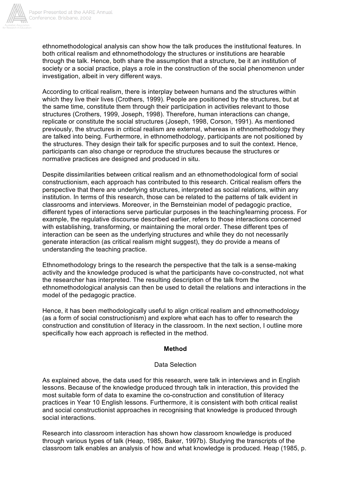

ethnomethodological analysis can show how the talk produces the institutional features. In both critical realism and ethnomethodology the structures or institutions are hearable through the talk. Hence, both share the assumption that a structure, be it an institution of society or a social practice, plays a role in the construction of the social phenomenon under investigation, albeit in very different ways.

According to critical realism, there is interplay between humans and the structures within which they live their lives (Crothers, 1999). People are positioned by the structures, but at the same time, constitute them through their participation in activities relevant to those structures (Crothers, 1999, Joseph, 1998). Therefore, human interactions can change, replicate or constitute the social structures (Joseph, 1998, Corson, 1991). As mentioned previously, the structures in critical realism are external, whereas in ethnomethodology they are talked into being. Furthermore, in ethnomethodology, participants are not positioned by the structures. They design their talk for specific purposes and to suit the context. Hence, participants can also change or reproduce the structures because the structures or normative practices are designed and produced in situ.

Despite dissimilarities between critical realism and an ethnomethodological form of social constructionism, each approach has contributed to this research. Critical realism offers the perspective that there are underlying structures, interpreted as social relations, within any institution. In terms of this research, those can be related to the patterns of talk evident in classrooms and interviews. Moreover, in the Bernsteinian model of pedagogic practice, different types of interactions serve particular purposes in the teaching/learning process. For example, the regulative discourse described earlier, refers to those interactions concerned with establishing, transforming, or maintaining the moral order. These different tpes of interaction can be seen as the underlying structures and while they do not necessarily generate interaction (as critical realism might suggest), they do provide a means of understanding the teaching practice.

Ethnomethodology brings to the research the perspective that the talk is a sense-making activity and the knowledge produced is what the participants have co-constructed, not what the researcher has interpreted. The resulting description of the talk from the ethnomethodological analysis can then be used to detail the relations and interactions in the model of the pedagogic practice.

Hence, it has been methodologically useful to align critical realism and ethnomethodology (as a form of social constructionism) and explore what each has to offer to research the construction and constitution of literacy in the classroom. In the next section, I outline more specifically how each approach is reflected in the method.

## **Method**

## Data Selection

As explained above, the data used for this research, were talk in interviews and in English lessons. Because of the knowledge produced through talk in interaction, this provided the most suitable form of data to examine the co-construction and constitution of literacy practices in Year 10 English lessons. Furthermore, it is consistent with both critical realist and social constructionist approaches in recognising that knowledge is produced through social interactions.

Research into classroom interaction has shown how classroom knowledge is produced through various types of talk (Heap, 1985, Baker, 1997b). Studying the transcripts of the classroom talk enables an analysis of how and what knowledge is produced. Heap (1985, p.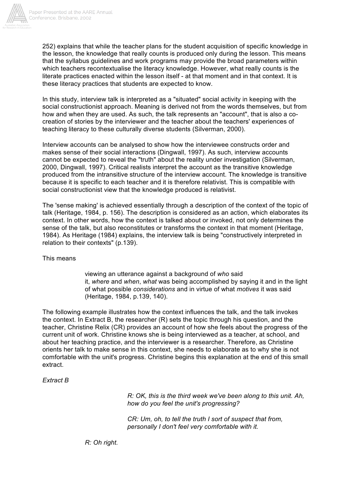

252) explains that while the teacher plans for the student acquisition of specific knowledge in the lesson, the knowledge that really counts is produced only during the lesson. This means that the syllabus guidelines and work programs may provide the broad parameters within which teachers recontextualise the literacy knowledge. However, what really counts is the literate practices enacted within the lesson itself - at that moment and in that context. It is these literacy practices that students are expected to know.

In this study, interview talk is interpreted as a "situated" social activity in keeping with the social constructionist approach. Meaning is derived not from the words themselves, but from how and when they are used. As such, the talk represents an "account", that is also a cocreation of stories by the interviewer and the teacher about the teachers' experiences of teaching literacy to these culturally diverse students (Silverman, 2000).

Interview accounts can be analysed to show how the interviewee constructs order and makes sense of their social interactions (Dingwall, 1997). As such, interview accounts cannot be expected to reveal the "truth" about the reality under investigation (Silverman, 2000, Dingwall, 1997). Critical realists interpret the account as the transitive knowledge produced from the intransitive structure of the interview account. The knowledge is transitive because it is specific to each teacher and it is therefore relativist. This is compatible with social constructionist view that the knowledge produced is relativist.

The 'sense making' is achieved essentially through a description of the context of the topic of talk (Heritage, 1984, p. 156). The description is considered as an action, which elaborates its context. In other words, how the context is talked about or invoked, not only determines the sense of the talk, but also reconstitutes or transforms the context in that moment (Heritage, 1984). As Heritage (1984) explains, the interview talk is being "constructively interpreted in relation to their contexts" (p.139).

## This means

viewing an utterance against a background of *who* said it, *where* and *when*, *what* was being accomplished by saying it and in the light of what possible *considerations* and in virtue of what *motives* it was said (Heritage, 1984, p.139, 140).

The following example illustrates how the context influences the talk, and the talk invokes the context. In Extract B, the researcher (R) sets the topic through his question, and the teacher, Christine Relix (CR) provides an account of how she feels about the progress of the current unit of work. Christine knows she is being interviewed as a teacher, at school, and about her teaching practice, and the interviewer is a researcher. Therefore, as Christine orients her talk to make sense in this context, she needs to elaborate as to why she is not comfortable with the unit's progress. Christine begins this explanation at the end of this small extract.

## *Extract B*

*R: OK, this is the third week we've been along to this unit. Ah, how do you feel the unit's progressing?*

*CR: Um, oh, to tell the truth I sort of suspect that from, personally I don't feel very comfortable with it.*

*R: Oh right.*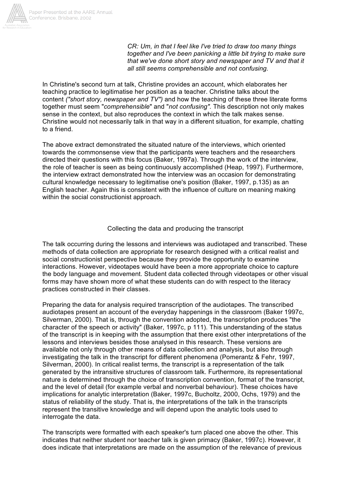

*CR: Um, in that I feel like I've tried to draw too many things together and I've been panicking a little bit trying to make sure that we've done short story and newspaper and TV and that it all still seems comprehensible and not confusing.*

In Christine's second turn at talk, Christine provides an account, which elaborates her teaching practice to legitimatise her position as a teacher. Christine talks about the content *("short story, newspaper and TV")* and how the teaching of these three literate forms together must seem "*comprehensible*" and "*not confusing".* This description not only makes sense in the context, but also reproduces the context in which the talk makes sense. Christine would not necessarily talk in that way in a different situation, for example, chatting to a friend.

The above extract demonstrated the situated nature of the interviews, which oriented towards the commonsense view that the participants were teachers and the researchers directed their questions with this focus (Baker, 1997a). Through the work of the interview, the role of teacher is seen as being continuously accomplished (Heap, 1997). Furthermore, the interview extract demonstrated how the interview was an occasion for demonstrating cultural knowledge necessary to legitimatise one's position (Baker, 1997, p.135) as an English teacher. Again this is consistent with the influence of culture on meaning making within the social constructionist approach.

## Collecting the data and producing the transcript

The talk occurring during the lessons and interviews was audiotaped and transcribed. These methods of data collection are appropriate for research designed with a critical realist and social constructionist perspective because they provide the opportunity to examine interactions. However, videotapes would have been a more appropriate choice to capture the body language and movement. Student data collected through videotapes or other visual forms may have shown more of what these students can do with respect to the literacy practices constructed in their classes.

Preparing the data for analysis required transcription of the audiotapes. The transcribed audiotapes present an account of the everyday happenings in the classroom (Baker 1997c, Silverman, 2000). That is, through the convention adopted, the transcription produces "the character of the speech or activity" (Baker, 1997c, p 111). This understanding of the status of the transcript is in keeping with the assumption that there exist other interpretations of the lessons and interviews besides those analysed in this research. These versions are available not only through other means of data collection and analysis, but also through investigating the talk in the transcript for different phenomena (Pomerantz & Fehr, 1997, Silverman, 2000). In critical realist terms, the transcript is a representation of the talk generated by the intransitive structures of classroom talk. Furthermore, its representational nature is determined through the choice of transcription convention, format of the transcript, and the level of detail (for example verbal and nonverbal behaviour). These choices have implications for analytic interpretation (Baker, 1997c, Bucholtz, 2000, Ochs, 1979) and the status of reliability of the study. That is, the interpretations of the talk in the transcripts represent the transitive knowledge and will depend upon the analytic tools used to interrogate the data.

The transcripts were formatted with each speaker's turn placed one above the other. This indicates that neither student nor teacher talk is given primacy (Baker, 1997c). However, it does indicate that interpretations are made on the assumption of the relevance of previous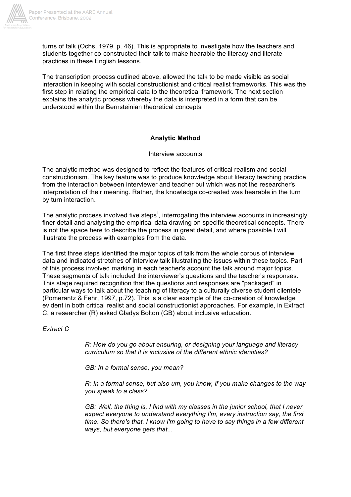

turns of talk (Ochs, 1979, p. 46). This is appropriate to investigate how the teachers and students together co-constructed their talk to make hearable the literacy and literate practices in these English lessons.

The transcription process outlined above, allowed the talk to be made visible as social interaction in keeping with social constructionist and critical realist frameworks. This was the first step in relating the empirical data to the theoretical framework. The next section explains the analytic process whereby the data is interpreted in a form that can be understood within the Bernsteinian theoretical concepts

## **Analytic Method**

Interview accounts

The analytic method was designed to reflect the features of critical realism and social constructionism. The key feature was to produce knowledge about literacy teaching practice from the interaction between interviewer and teacher but which was not the researcher's interpretation of their meaning. Rather, the knowledge co-created was hearable in the turn by turn interaction.

The analytic process involved five steps<sup>ii</sup>, interrogating the interview accounts in increasingly finer detail and analysing the empirical data drawing on specific theoretical concepts. There is not the space here to describe the process in great detail, and where possible I will illustrate the process with examples from the data.

The first three steps identified the major topics of talk from the whole corpus of interview data and indicated stretches of interview talk illustrating the issues within these topics. Part of this process involved marking in each teacher's account the talk around major topics. These segments of talk included the interviewer's questions and the teacher's responses. This stage required recognition that the questions and responses are "packaged" in particular ways to talk about the teaching of literacy to a culturally diverse student clientele (Pomerantz & Fehr, 1997, p.72). This is a clear example of the co-creation of knowledge evident in both critical realist and social constructionist approaches. For example, in Extract C, a researcher (R) asked Gladys Bolton (GB) about inclusive education.

*Extract C*

*R: How do you go about ensuring, or designing your language and literacy curriculum so that it is inclusive of the different ethnic identities?*

*GB: In a formal sense, you mean?*

*R: In a formal sense, but also um, you know, if you make changes to the way you speak to a class?*

*GB: Well, the thing is, I find with my classes in the junior school, that I never expect everyone to understand everything I'm, every instruction say, the first time. So there's that. I know I'm going to have to say things in a few different ways, but everyone gets that...*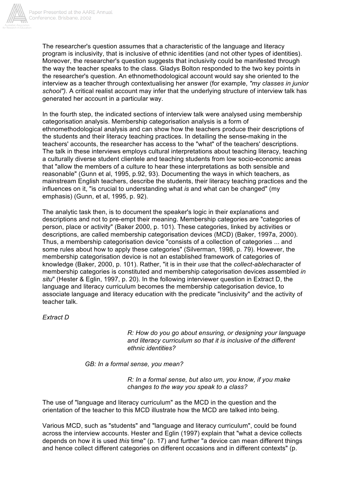

The researcher's question assumes that a characteristic of the language and literacy program is inclusivity, that is inclusive of ethnic identities (and not other types of identities). Moreover, the researcher's question suggests that inclusivity could be manifested through the way the teacher speaks to the class. Gladys Bolton responded to the two key points in the researcher's question. An ethnomethodological account would say she oriented to the interview as a teacher through contextualising her answer (for example, *"my classes in junior school").* A critical realist account may infer that the underlying structure of interview talk has generated her account in a particular way.

In the fourth step, the indicated sections of interview talk were analysed using membership categorisation analysis. Membership categorisation analysis is a form of ethnomethodological analysis and can show how the teachers produce their descriptions of the students and their literacy teaching practices. In detailing the sense-making in the teachers' accounts, the researcher has access to the "what" of the teachers' descriptions. The talk in these interviews employs cultural interpretations about teaching literacy, teaching a culturally diverse student clientele and teaching students from low socio-economic areas that "allow the members of a culture to hear these interpretations as both sensible and reasonable" (Gunn et al, 1995, p.92, 93). Documenting the ways in which teachers, as mainstream English teachers, describe the students, their literacy teaching practices and the influences on it, "is crucial to understanding what *is* and what can be changed" (my emphasis) (Gunn, et al, 1995, p. 92).

The analytic task then, is to document the speaker's logic in their explanations and descriptions and not to pre-empt their meaning. Membership categories are "categories of person, place or activity" (Baker 2000, p. 101). These categories, linked by activities or descriptions, are called membership categorisation devices (MCD) (Baker, 1997a, 2000). Thus, a membership categorisation device "consists of a collection of categories ... and some rules about how to apply these categories" (Silverman, 1998, p. 79). However, the membership categorisation device is not an established framework of categories of knowledge (Baker, 2000, p. 101). Rather, "it is in their *use* that the *collect-able*character of membership categories is constituted and membership categorisation devices assembled *in situ*" (Hester & Eglin, 1997, p. 20). In the following interviewer question in Extract D, the language and literacy curriculum becomes the membership categorisation device, to associate language and literacy education with the predicate "inclusivity" and the activity of teacher talk.

## *Extract D*

*R: How do you go about ensuring, or designing your language and literacy curriculum so that it is inclusive of the different ethnic identities?*

*GB: In a formal sense, you mean?*

*R: In a formal sense, but also um, you know, if you make changes to the way you speak to a class?*

The use of "language and literacy curriculum" as the MCD in the question and the orientation of the teacher to this MCD illustrate how the MCD are talked into being.

Various MCD, such as "students" and "language and literacy curriculum", could be found across the interview accounts. Hester and Eglin (1997) explain that "what a device collects depends on how it is used *this* time" (p. 17) and further "a device can mean different things and hence collect different categories on different occasions and in different contexts" (p.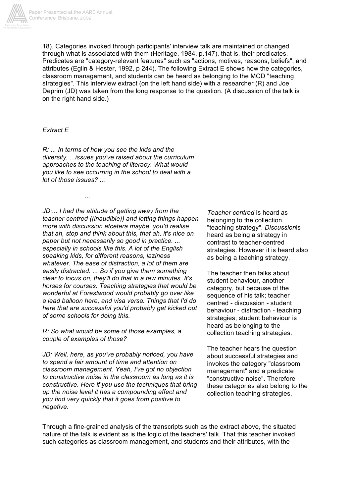

18). Categories invoked through participants' interview talk are maintained or changed through what is associated with them (Heritage, 1984, p.147), that is, their predicates. Predicates are "category-relevant features" such as "actions, motives, reasons, beliefs", and attributes (Eglin & Hester, 1992, p 244). The following Extract E shows how the categories, classroom management, and students can be heard as belonging to the MCD "teaching strategies". This interview extract (on the left hand side) with a researcher (R) and Joe Deprim (JD) was taken from the long response to the question. (A discussion of the talk is on the right hand side.)

## *Extract E*

*R: ... In terms of how you see the kids and the diversity, ...issues you've raised about the curriculum approaches to the teaching of literacy. What would you like to see occurring in the school to deal with a lot of those issues? ...*

*...*

*JD:... I had the attitude of getting away from the teacher-centred ((inaudible)) and letting things happen more with discussion etcetera maybe, you'd realise that ah, stop and think about this, that ah, it's nice on paper but not necessarily so good in practice. ... especially in schools like this. A lot of the English speaking kids, for different reasons, laziness whatever. The ease of distraction, a lot of them are easily distracted. ... So if you give them something clear to focus on, they'll do that in a few minutes. It's horses for courses. Teaching strategies that would be wonderful at Forestwood would probably go over like a lead balloon here, and visa versa. Things that I'd do here that are successful you'd probably get kicked out of some schools for doing this.*

*R: So what would be some of those examples, a couple of examples of those?*

*JD: Well, here, as you've probably noticed, you have to spend a fair amount of time and attention on classroom management. Yeah, I've got no objection to constructive noise in the classroom as long as it is constructive. Here if you use the techniques that bring up the noise level it has a compounding effect and you find very quickly that it goes from positive to negative.*

*Teacher centred* is heard as belonging to the collection "teaching strategy". *Discussion*is heard as being a strategy in contrast to teacher-centred strategies. However it is heard also as being a teaching strategy.

The teacher then talks about student behaviour, another category, but because of the sequence of his talk; teacher centred - discussion - student behaviour - distraction - teaching strategies; student behaviour is heard as belonging to the collection teaching strategies.

The teacher hears the question about successful strategies and invokes the category "classroom management" and a predicate "constructive noise". Therefore these categories also belong to the collection teaching strategies.

Through a fine-grained analysis of the transcripts such as the extract above, the situated nature of the talk is evident as is the logic of the teachers' talk. That this teacher invoked such categories as classroom management, and students and their attributes, with the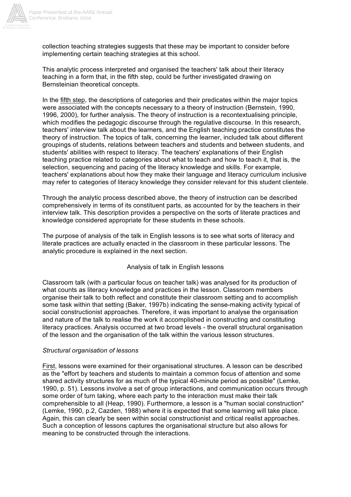

Paper Presented at the AARE Annual Conference, Brisbane, 2002

> collection teaching strategies suggests that these may be important to consider before implementing certain teaching strategies at this school.

This analytic process interpreted and organised the teachers' talk about their literacy teaching in a form that, in the fifth step, could be further investigated drawing on Bernsteinian theoretical concepts.

In the fifth step, the descriptions of categories and their predicates within the major topics were associated with the concepts necessary to a theory of instruction (Bernstein, 1990, 1996, 2000), for further analysis. The theory of instruction is a recontextualising principle, which modifies the pedagogic discourse through the regulative discourse. In this research, teachers' interview talk about the learners, and the English teaching practice constitutes the theory of instruction. The topics of talk, concerning the learner, included talk about different groupings of students, relations between teachers and students and between students, and students' abilities with respect to literacy. The teachers' explanations of their English teaching practice related to categories about what to teach and how to teach it, that is, the selection, sequencing and pacing of the literacy knowledge and skills. For example, teachers' explanations about how they make their language and literacy curriculum inclusive may refer to categories of literacy knowledge they consider relevant for this student clientele.

Through the analytic process described above, the theory of instruction can be described comprehensively in terms of its constituent parts, as accounted for by the teachers in their interview talk. This description provides a perspective on the sorts of literate practices and knowledge considered appropriate for these students in these schools.

The purpose of analysis of the talk in English lessons is to see what sorts of literacy and literate practices are actually enacted in the classroom in these particular lessons. The analytic procedure is explained in the next section.

## Analysis of talk in English lessons

Classroom talk (with a particular focus on teacher talk) was analysed for its production of what counts as literacy knowledge and practices in the lesson. Classroom members organise their talk to both reflect and constitute their classroom setting and to accomplish some task within that setting (Baker, 1997b) indicating the sense-making activity typical of social constructionist approaches. Therefore, it was important to analyse the organisation and nature of the talk to realise the work it accomplished in constructing and constituting literacy practices. Analysis occurred at two broad levels - the overall structural organisation of the lesson and the organisation of the talk within the various lesson structures.

#### *Structural organisation of lessons*

First, lessons were examined for their organisational structures. A lesson can be described as the "effort by teachers and students to maintain a common focus of attention and some shared activity structures for as much of the typical 40-minute period as possible" (Lemke, 1990, p. 51). Lessons involve a set of group interactions, and communication occurs through some order of turn taking, where each party to the interaction must make their talk comprehensible to all (Heap, 1990). Furthermore, a lesson is a "human social construction" (Lemke, 1990, p.2, Cazden, 1988) where it is expected that some learning will take place. Again, this can clearly be seen within social constructionist and critical realist approaches. Such a conception of lessons captures the organisational structure but also allows for meaning to be constructed through the interactions.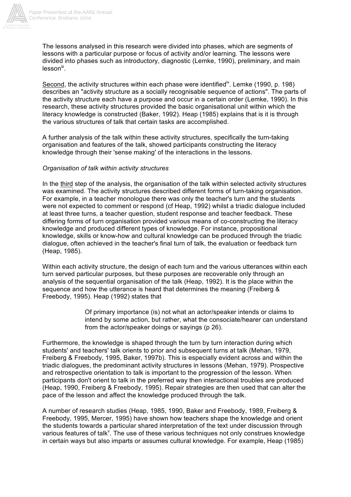

The lessons analysed in this research were divided into phases, which are segments of lessons with a particular purpose or focus of activity and/or learning. The lessons were divided into phases such as introductory, diagnostic (Lemke, 1990), preliminary, and main lesson<sup>iii</sup>.

Second, the activity structures within each phase were identified<sup>iv</sup>. Lemke (1990, p. 198) describes an "activity structure as a socially recognisable sequence of actions". The parts of the activity structure each have a purpose and occur in a certain order (Lemke, 1990). In this research, these activity structures provided the basic organisational unit within which the literacy knowledge is constructed (Baker, 1992). Heap (1985) explains that is it is through the various structures of talk that certain tasks are accomplished.

A further analysis of the talk within these activity structures, specifically the turn-taking organisation and features of the talk, showed participants constructing the literacy knowledge through their 'sense making' of the interactions in the lessons.

## *Organisation of talk within activity structures*

In the third step of the analysis, the organisation of the talk within selected activity structures was examined. The activity structures described different forms of turn-taking organisation. For example, in a teacher monologue there was only the teacher's turn and the students were not expected to comment or respond (cf Heap, 1992) whilst a triadic dialogue included at least three turns, a teacher question, student response and teacher feedback. These differing forms of turn organisation provided various means of co-constructing the literacy knowledge and produced different types of knowledge. For instance, propositional knowledge, skills or know-how and cultural knowledge can be produced through the triadic dialogue, often achieved in the teacher's final turn of talk, the evaluation or feedback turn (Heap, 1985).

Within each activity structure, the design of each turn and the various utterances within each turn served particular purposes, but these purposes are recoverable only through an analysis of the sequential organisation of the talk (Heap, 1992). It is the place within the sequence and how the utterance is heard that determines the meaning (Freiberg & Freebody, 1995). Heap (1992) states that

> Of primary importance (is) not what an actor/speaker intends or claims to intend by some action, but rather, what the consociate/hearer can understand from the actor/speaker doings or sayings (p 26).

Furthermore, the knowledge is shaped through the turn by turn interaction during which students' and teachers' talk orients to prior and subsequent turns at talk (Mehan, 1979, Freiberg & Freebody, 1995, Baker, 1997b). This is especially evident across and within the triadic dialogues, the predominant activity structures in lessons (Mehan, 1979). Prospective and retrospective orientation to talk is important to the progression of the lesson. When participants don't orient to talk in the preferred way then interactional troubles are produced (Heap, 1990, Freiberg & Freebody, 1995). Repair strategies are then used that can alter the pace of the lesson and affect the knowledge produced through the talk.

A number of research studies (Heap, 1985, 1990, Baker and Freebody, 1989, Freiberg & Freebody, 1995, Mercer, 1995) have shown how teachers shape the knowledge and orient the students towards a particular shared interpretation of the text under discussion through various features of talk<sup>v</sup>. The use of these various techniques not only construes knowledge in certain ways but also imparts or assumes cultural knowledge. For example, Heap (1985)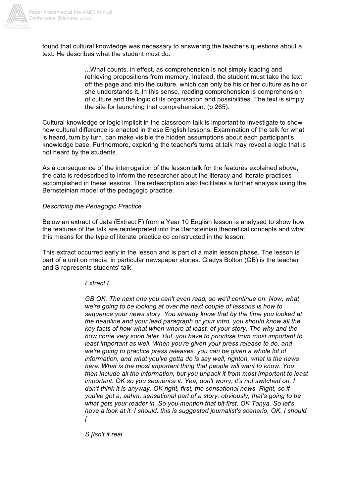

found that cultural knowledge was necessary to answering the teacher's questions about a text. He describes what the student must do.

> ...What counts, in effect, as comprehension is not simply loading and retrieving propositions from memory. Instead, the student must take the text off the page and into the culture, which can only be his or her culture as he or she understands it. In this sense, reading comprehension is comprehension of culture and the logic of its organisation and possibilities. The text is simply the site for launching that comprehension. (p 265).

Cultural knowledge or logic implicit in the classroom talk is important to investigate to show how cultural difference is enacted in these English lessons. Examination of the talk for what is heard, turn by turn, can make visible the hidden assumptions about each participant's knowledge base. Furthermore, exploring the teacher's turns at talk may reveal a logic that is not heard by the students.

As a consequence of the interrogation of the lesson talk for the features explained above, the data is redescribed to inform the researcher about the literacy and literate practices accomplished in these lessons. The redescription also facilitates a further analysis using the Bernsteinian model of the pedagogic practice.

## *Describing the Pedagogic Practice*

Below an extract of data (Extract F) from a Year 10 English lesson is analysed to show how the features of the talk are reinterpreted into the Bernsteinian theoretical concepts and what this means for the type of literate practice co constructed in the lesson.

This extract occurred early in the lesson and is part of a main lesson phase. The lesson is part of a unit on media, in particular newspaper stories. Gladys Bolton (GB) is the teacher and S represents students' talk.

#### *Extract F*

*GB OK. The next one you can't even read, so we'll continue on. Now, what we're going to be looking at over the next couple of lessons is how to sequence your news story. You already know that by the time you looked at the headline and your lead paragraph or your intro, you should know all the key facts of how what when where at least, of your story. The why and the how come very soon later. But, you have to prioritise from most important to least important as well. When you're given your press release to do, and we're going to practice press releases, you can be given a whole lot of information, and what you've gotta do is say well, rightoh, what is the news here. What is the most important thing that people will want to know. You then include all the information, but you unpack it from most important to least important. OK so you sequence it. Yea, don't worry, it's not switched on, I don't think it is anyway. OK right, first, the sensational news. Right, so if you've got a, aahm, sensational part of a story, obviously, that's going to be what gets your reader in. So you mention that bit first. OK Tanya. So let's have a look at it. I should, this is suggested journalist's scenario, OK. I should [*

*S [Isn't it real.*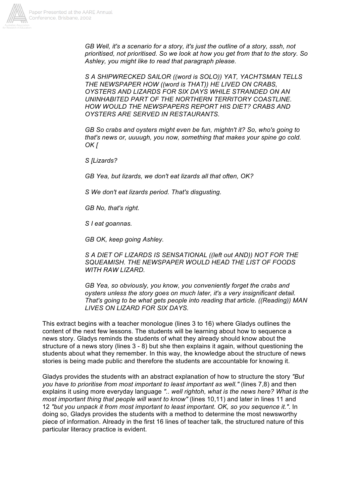

*GB Well, it's a scenario for a story, it's just the outline of a story, sssh, not prioritised, not prioritised. So we look at how you get from that to the story. So Ashley, you might like to read that paragraph please.*

*S A SHIPWRECKED SAILOR ((word is SOLO)) YAT, YACHTSMAN TELLS THE NEWSPAPER HOW ((word is THAT)) HE LIVED ON CRABS, OYSTERS AND LIZARDS FOR SIX DAYS WHILE STRANDED ON AN UNINHABITED PART OF THE NORTHERN TERRITORY COASTLINE. HOW WOULD THE NEWSPAPERS REPORT HIS DIET? CRABS AND OYSTERS ARE SERVED IN RESTAURANTS.*

*GB So crabs and oysters might even be fun, mightn't it? So, who's going to that's news or, uuuugh, you now, something that makes your spine go cold. OK [*

*S [Lizards?*

*GB Yea, but lizards, we don't eat lizards all that often, OK?*

*S We don't eat lizards period. That's disgusting.*

*GB No, that's right.*

*S I eat goannas.*

*GB OK, keep going Ashley.*

*S A DIET OF LIZARDS IS SENSATIONAL ((left out AND)) NOT FOR THE SQUEAMISH. THE NEWSPAPER WOULD HEAD THE LIST OF FOODS WITH RAW LIZARD.*

*GB Yea, so obviously, you know, you conveniently forget the crabs and oysters unless the story goes on much later, it's a very insignificant detail. That's going to be what gets people into reading that article. ((Reading)) MAN LIVES ON LIZARD FOR SIX DAYS.*

This extract begins with a teacher monologue (lines 3 to 16) where Gladys outlines the content of the next few lessons. The students will be learning about how to sequence a news story. Gladys reminds the students of what they already should know about the structure of a news story (lines 3 - 8) but she then explains it again, without questioning the students about what they remember. In this way, the knowledge about the structure of news stories is being made public and therefore the students are accountable for knowing it.

Gladys provides the students with an abstract explanation of how to structure the story *"But you have to prioritise from most important to least important as well."* (lines 7,8) and then explains it using more everyday language *".. well rightoh, what is the news here? What is the most important thing that people will want to know"* (lines 10,11) and later in lines 11 and 12 *"but you unpack it from most important to least important. OK, so you sequence it."*. In doing so, Gladys provides the students with a method to determine the most newsworthy piece of information. Already in the first 16 lines of teacher talk, the structured nature of this particular literacy practice is evident.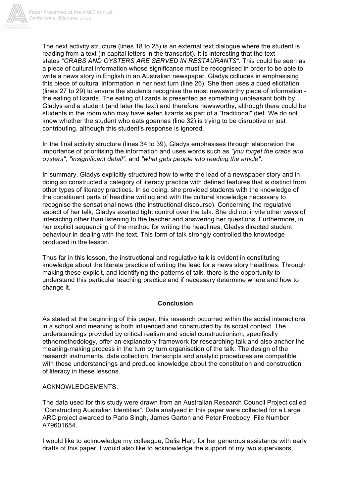

The next activity structure (lines 18 to 25) is an external text dialogue where the student is reading from a text (in capital letters in the transcript). It is interesting that the text states *"CRABS AND OYSTERS ARE SERVED IN RESTAURANTS"*. This could be seen as a piece of cultural information whose significance must be recognised in order to be able to write a news story in English in an Australian newspaper. Gladys colludes in emphasising this piece of cultural information in her next turn (line 26). She then uses a cued elicitation (lines 27 to 29) to ensure the students recognise the most newsworthy piece of information the eating of lizards. The eating of lizards is presented as something unpleasant both by Gladys and a student (and later the text) and therefore newsworthy, although there could be students in the room who may have eaten lizards as part of a "traditional" diet. We do not know whether the student who eats goannas (line 32) is trying to be disruptive or just contributing, although this student's response is ignored.

In the final activity structure (lines 34 to 39), Gladys emphasises through elaboration the importance of prioritising the information and uses words such as *"you forget the crabs and oysters", "insignificant detail"*, and *"what gets people into reading the article"*.

In summary, Gladys explicitly structured how to write the lead of a newspaper story and in doing so constructed a category of literacy practice with defined features that is distinct from other types of literacy practices. In so doing, she provided students with the knowledge of the constituent parts of headline writing and with the cultural knowledge necessary to recognise the sensational news (the instructional discourse). Concerning the regulative aspect of her talk, Gladys exerted tight control over the talk. She did not invite other ways of interacting other than listening to the teacher and answering her questions. Furthermore, in her explicit sequencing of the method for writing the headlines, Gladys directed student behaviour in dealing with the text. This form of talk strongly controlled the knowledge produced in the lesson.

Thus far in this lesson, the instructional and regulative talk is evident in constituting knowledge about the literate practice of writing the lead for a news story headlines. Through making these explicit, and identifying the patterns of talk, there is the opportunity to understand this particular teaching practice and if necessary determine where and how to change it.

## **Conclusion**

As stated at the beginning of this paper, this research occurred within the social interactions in a school and meaning is both influenced and constructed by its social context. The understandings provided by critical realism and social constructionism, specifically ethnomethodology, offer an explanatory framework for researching talk and also anchor the meaning-making process in the turn by turn organisation of the talk. The design of the research instruments, data collection, transcripts and analytic procedures are compatible with these understandings and produce knowledge about the constitution and construction of literacy in these lessons.

## ACKNOWLEDGEMENTS:

The data used for this study were drawn from an Australian Research Council Project called "Constructing Australian Identities". Data analysed in this paper were collected for a Large ARC project awarded to Parlo Singh, James Garton and Peter Freebody, File Number A79601654.

I would like to acknowledge my colleague, Delia Hart, for her generous assistance with early drafts of this paper. I would also like to acknowledge the support of my two supervisors,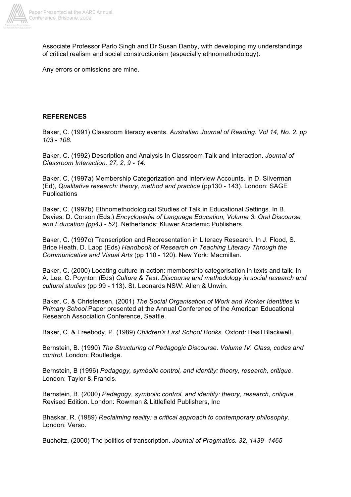

Associate Professor Parlo Singh and Dr Susan Danby, with developing my understandings of critical realism and social constructionism (especially ethnomethodology).

Any errors or omissions are mine.

## **REFERENCES**

Baker, C. (1991) Classroom literacy events. *Australian Journal of Reading. Vol 14, No. 2. pp 103 - 108.*

Baker, C. (1992) Description and Analysis In Classroom Talk and Interaction. *Journal of Classroom Interaction, 27, 2, 9 - 14*.

Baker, C. (1997a) Membership Categorization and Interview Accounts. In D. Silverman (Ed), *Qualitative research: theory, method and practice* (pp130 - 143). London: SAGE **Publications** 

Baker, C. (1997b) Ethnomethodological Studies of Talk in Educational Settings. In B. Davies, D. Corson (Eds.) *Encyclopedia of Language Education, Volume 3: Oral Discourse and Education (pp43 - 52*). Netherlands: Kluwer Academic Publishers.

Baker, C. (1997c) Transcription and Representation in Literacy Research. In J. Flood, S. Brice Heath, D. Lapp (Eds) *Handbook of Research on Teaching Literacy Through the Communicative and Visual Arts* (pp 110 - 120). New York: Macmillan.

Baker, C. (2000) Locating culture in action: membership categorisation in texts and talk. In A. Lee, C. Poynton (Eds) *Culture & Text. Discourse and methodology in social research and cultural studies* (pp 99 - 113). St. Leonards NSW: Allen & Unwin.

Baker, C. & Christensen, (2001) *The Social Organisation of Work and Worker Identities in Primary School.*Paper presented at the Annual Conference of the American Educational Research Association Conference, Seattle.

Baker, C. & Freebody, P. (1989) *Children's First School Books*. Oxford: Basil Blackwell.

Bernstein, B. (1990) *The Structuring of Pedagogic Discourse. Volume IV. Class, codes and control*. London: Routledge.

Bernstein, B (1996) *Pedagogy, symbolic control, and identity: theory, research, critique*. London: Taylor & Francis.

Bernstein, B. (2000) *Pedagogy, symbolic control, and identity: theory, research, critique*. Revised Edition. London: Rowman & Littlefield Publishers, Inc

Bhaskar, R. (1989) *Reclaiming reality: a critical approach to contemporary philosophy*. London: Verso.

Bucholtz, (2000) The politics of transcription. *Journal of Pragmatics. 32, 1439 -1465*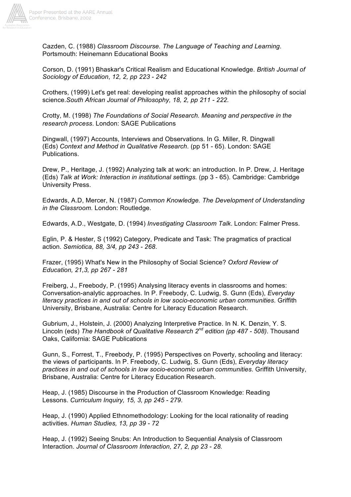

Cazden, C. (1988) *Classroom Discourse. The Language of Teaching and Learning*. Portsmouth: Heinemann Educational Books

Corson, D. (1991) Bhaskar's Critical Realism and Educational Knowledge. *British Journal of Sociology of Education*, *12, 2, pp 223 - 242*

Crothers, (1999) Let's get real: developing realist approaches within the philosophy of social science.*South African Journal of Philosophy, 18, 2, pp 211 - 222.*

Crotty, M. (1998) *The Foundations of Social Research. Meaning and perspective in the research process*. London: SAGE Publications

Dingwall, (1997) Accounts, Interviews and Observations. In G. Miller, R. Dingwall (Eds) *Context and Method in Qualitative Research*. (pp 51 - 65). London: SAGE Publications.

Drew, P., Heritage, J. (1992) Analyzing talk at work: an introduction. In P. Drew, J. Heritage (Eds) *Talk at Work: Interaction in institutional settings.* (pp 3 - 65). Cambridge: Cambridge University Press.

Edwards, A.D, Mercer, N. (1987) *Common Knowledge. The Development of Understanding in the Classroom.* London: Routledge.

Edwards, A.D., Westgate, D. (1994) *Investigating Classroom Talk*. London: Falmer Press.

Eglin, P. & Hester, S (1992) Category, Predicate and Task: The pragmatics of practical action. *Semiotica, 88, 3/4, pp 243 - 268*.

Frazer, (1995) What's New in the Philosophy of Social Science? *Oxford Review of Education, 21,3, pp 267 - 281*

Freiberg, J., Freebody, P. (1995) Analysing literacy events in classrooms and homes: Conversation-analytic approaches. In P. Freebody, C. Ludwig, S. Gunn (Eds), *Everyday literacy practices in and out of schools in low socio-economic urban communities*. Griffith University, Brisbane, Australia: Centre for Literacy Education Research.

Gubrium, J., Holstein, J. (2000) Analyzing Interpretive Practice. In N. K. Denzin, Y. S. Lincoln (eds) *The Handbook of Qualitative Research 2nd edition (pp 487 - 508)*. Thousand Oaks, California: SAGE Publications

Gunn, S., Forrest, T., Freebody, P. (1995) Perspectives on Poverty, schooling and literacy: the views of participants. In P. Freebody, C. Ludwig, S. Gunn (Eds), *Everyday literacy practices in and out of schools in low socio-economic urban communities*. Griffith University, Brisbane, Australia: Centre for Literacy Education Research.

Heap, J. (1985) Discourse in the Production of Classroom Knowledge: Reading Lessons. *Curriculum Inquiry, 15, 3, pp 245 - 279*.

Heap, J. (1990) Applied Ethnomethodology: Looking for the local rationality of reading activities. *Human Studies, 13, pp 39 - 72*

Heap, J. (1992) Seeing Snubs: An Introduction to Sequential Analysis of Classroom Interaction. *Journal of Classroom Interaction, 27, 2, pp 23 - 28.*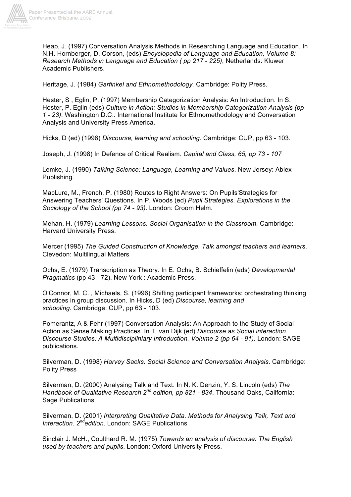

Heap, J. (1997) Conversation Analysis Methods in Researching Language and Education. In N.H. Hornberger, D. Corson, (eds) *Encyclopedia of Language and Education, Volume 8: Research Methods in Language and Education ( pp 217 - 225)*, Netherlands: Kluwer Academic Publishers.

Heritage, J. (1984) *Garfinkel and Ethnomethodology.* Cambridge: Polity Press.

Hester, S , Eglin, P. (1997) Membership Categorization Analysis: An Introduction. In S. Hester, P. Eglin (eds) *Culture in Action: Studies in Membership Categorization Analysis (pp 1 - 23)*. Washington D.C.: International Institute for Ethnomethodology and Conversation Analysis and University Press America.

Hicks, D (ed) (1996) *Discourse, learning and schooling.* Cambridge: CUP, pp 63 - 103.

Joseph, J. (1998) In Defence of Critical Realism. *Capital and Class, 65, pp 73 - 107*

Lemke, J. (1990) *Talking Science: Language, Learning and Values*. New Jersey: Ablex Publishing.

MacLure, M., French, P. (1980) Routes to Right Answers: On Pupils'Strategies for Answering Teachers' Questions. In P. Woods (ed) *Pupil Strategies. Explorations in the Sociology of the School (pp 74 - 93)*. London: Croom Helm.

Mehan, H. (1979) *Learning Lessons. Social Organisation in the Classroom.* Cambridge: Harvard University Press.

Mercer (1995) *The Guided Construction of Knowledge. Talk amongst teachers and learners*. Clevedon: Multilingual Matters

Ochs, E. (1979) Transcription as Theory. In E. Ochs, B. Schieffelin (eds) *Developmental Pragmatics* (pp 43 - 72). New York : Academic Press.

O'Connor, M. C. , Michaels, S. (1996) Shifting participant frameworks: orchestrating thinking practices in group discussion. In Hicks, D (ed) *Discourse, learning and schooling.* Cambridge: CUP, pp 63 - 103.

Pomerantz, A & Fehr (1997) Conversation Analysis: An Approach to the Study of Social Action as Sense Making Practices. In T. van Dijk (ed) *Discourse as Social interaction. Discourse Studies: A Multidiscipliniary Introduction. Volume 2 (pp 64 - 91)*. London: SAGE publications.

Silverman, D. (1998) *Harvey Sacks. Social Science and Conversation Analysis*. Cambridge: Polity Press

Silverman, D. (2000) Analysing Talk and Text. In N. K. Denzin, Y. S. Lincoln (eds) *The Handbook of Qualitative Research 2nd edition, pp 821 - 834*. Thousand Oaks, California: Sage Publications

Silverman, D. (2001) *Interpreting Qualitative Data. Methods for Analysing Talk, Text and Interaction.* 2<sup>*nd*</sup>edition. London: SAGE Publications

Sinclair J. McH., Coulthard R. M. (1975) *Towards an analysis of discourse: The English used by teachers and pupils*. London: Oxford University Press.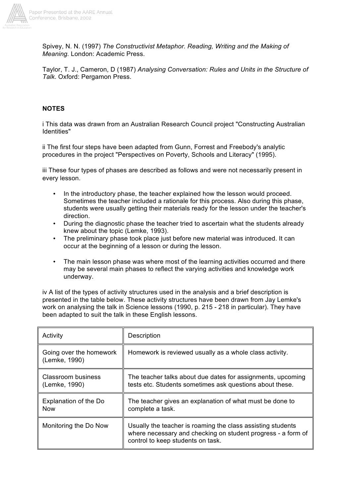

Spivey, N. N. (1997) *The Constructivist Metaphor. Reading, Writing and the Making of Meaning.* London: Academic Press.

Taylor, T. J., Cameron, D (1987) *Analysing Conversation: Rules and Units in the Structure of Talk*. Oxford: Pergamon Press.

## **NOTES**

i This data was drawn from an Australian Research Council project "Constructing Australian Identities"

ii The first four steps have been adapted from Gunn, Forrest and Freebody's analytic procedures in the project "Perspectives on Poverty, Schools and Literacy" (1995).

iii These four types of phases are described as follows and were not necessarily present in every lesson.

- In the introductory phase, the teacher explained how the lesson would proceed. Sometimes the teacher included a rationale for this process. Also during this phase, students were usually getting their materials ready for the lesson under the teacher's direction.
- During the diagnostic phase the teacher tried to ascertain what the students already knew about the topic (Lemke, 1993).
- The preliminary phase took place just before new material was introduced. It can occur at the beginning of a lesson or during the lesson.
- The main lesson phase was where most of the learning activities occurred and there may be several main phases to reflect the varying activities and knowledge work underway.

iv A list of the types of activity structures used in the analysis and a brief description is presented in the table below. These activity structures have been drawn from Jay Lemke's work on analysing the talk in Science lessons (1990, p. 215 - 218 in particular). They have been adapted to suit the talk in these English lessons.

| Activity                                   | Description                                                                                                                                                      |
|--------------------------------------------|------------------------------------------------------------------------------------------------------------------------------------------------------------------|
| Going over the homework<br>(Lemke, 1990)   | Homework is reviewed usually as a whole class activity.                                                                                                          |
| <b>Classroom business</b><br>(Lemke, 1990) | The teacher talks about due dates for assignments, upcoming<br>tests etc. Students sometimes ask questions about these.                                          |
| Explanation of the Do<br><b>Now</b>        | The teacher gives an explanation of what must be done to<br>complete a task.                                                                                     |
| Monitoring the Do Now                      | Usually the teacher is roaming the class assisting students<br>where necessary and checking on student progress - a form of<br>control to keep students on task. |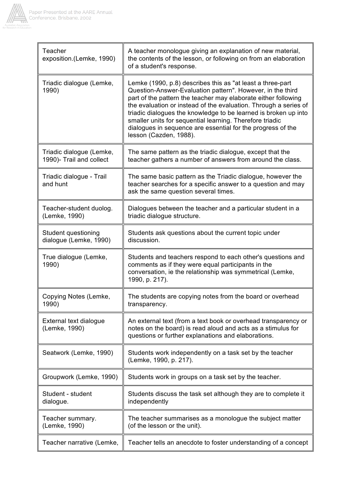

| <b>Teacher</b><br>exposition.(Lemke, 1990)           | A teacher monologue giving an explanation of new material,<br>the contents of the lesson, or following on from an elaboration<br>of a student's response.                                                                                                                                                                                                                                                                                                                              |
|------------------------------------------------------|----------------------------------------------------------------------------------------------------------------------------------------------------------------------------------------------------------------------------------------------------------------------------------------------------------------------------------------------------------------------------------------------------------------------------------------------------------------------------------------|
| Triadic dialogue (Lemke,<br>1990)                    | Lemke (1990, p.8) describes this as "at least a three-part<br>Question-Answer-Evaluation pattern". However, in the third<br>part of the pattern the teacher may elaborate either following<br>the evaluation or instead of the evaluation. Through a series of<br>triadic dialogues the knowledge to be learned is broken up into<br>smaller units for sequential learning. Therefore triadic<br>dialogues in sequence are essential for the progress of the<br>lesson (Cazden, 1988). |
| Triadic dialogue (Lemke,<br>1990)- Trail and collect | The same pattern as the triadic dialogue, except that the<br>teacher gathers a number of answers from around the class.                                                                                                                                                                                                                                                                                                                                                                |
| Triadic dialogue - Trail<br>and hunt                 | The same basic pattern as the Triadic dialogue, however the<br>teacher searches for a specific answer to a question and may<br>ask the same question several times.                                                                                                                                                                                                                                                                                                                    |
| Teacher-student duolog.<br>(Lemke, 1990)             | Dialogues between the teacher and a particular student in a<br>triadic dialogue structure.                                                                                                                                                                                                                                                                                                                                                                                             |
| Student questioning<br>dialogue (Lemke, 1990)        | Students ask questions about the current topic under<br>discussion.                                                                                                                                                                                                                                                                                                                                                                                                                    |
| True dialogue (Lemke,<br>1990)                       | Students and teachers respond to each other's questions and<br>comments as if they were equal participants in the<br>conversation, ie the relationship was symmetrical (Lemke,<br>1990, p. 217).                                                                                                                                                                                                                                                                                       |
| Copying Notes (Lemke,<br>1990)                       | The students are copying notes from the board or overhead<br>transparency.                                                                                                                                                                                                                                                                                                                                                                                                             |
| External text dialogue<br>(Lemke, 1990)              | An external text (from a text book or overhead transparency or<br>notes on the board) is read aloud and acts as a stimulus for<br>questions or further explanations and elaborations.                                                                                                                                                                                                                                                                                                  |
| Seatwork (Lemke, 1990)                               | Students work independently on a task set by the teacher<br>(Lemke, 1990, p. 217).                                                                                                                                                                                                                                                                                                                                                                                                     |
| Groupwork (Lemke, 1990)                              | Students work in groups on a task set by the teacher.                                                                                                                                                                                                                                                                                                                                                                                                                                  |
| Student - student<br>dialogue.                       | Students discuss the task set although they are to complete it<br>independently                                                                                                                                                                                                                                                                                                                                                                                                        |
| Teacher summary.<br>(Lemke, 1990)                    | The teacher summarises as a monologue the subject matter<br>(of the lesson or the unit).                                                                                                                                                                                                                                                                                                                                                                                               |
| Teacher narrative (Lemke,                            | Teacher tells an anecdote to foster understanding of a concept                                                                                                                                                                                                                                                                                                                                                                                                                         |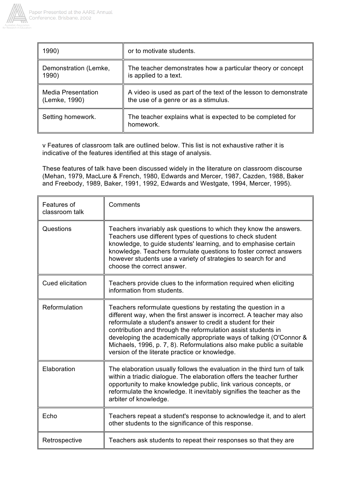

| 1990)                 | or to motivate students.                                               |
|-----------------------|------------------------------------------------------------------------|
| Demonstration (Lemke, | The teacher demonstrates how a particular theory or concept            |
| 1990)                 | is applied to a text.                                                  |
| Media Presentation    | A video is used as part of the text of the lesson to demonstrate       |
| (Lemke, 1990)         | the use of a genre or as a stimulus.                                   |
| Setting homework.     | The teacher explains what is expected to be completed for<br>homework. |

v Features of classroom talk are outlined below. This list is not exhaustive rather it is indicative of the features identified at this stage of analysis.

These features of talk have been discussed widely in the literature on classroom discourse (Mehan, 1979, MacLure & French, 1980, Edwards and Mercer, 1987, Cazden, 1988, Baker and Freebody, 1989, Baker, 1991, 1992, Edwards and Westgate, 1994, Mercer, 1995).

| Features of<br>classroom talk | Comments                                                                                                                                                                                                                                                                                                                                                                                                                                                                 |
|-------------------------------|--------------------------------------------------------------------------------------------------------------------------------------------------------------------------------------------------------------------------------------------------------------------------------------------------------------------------------------------------------------------------------------------------------------------------------------------------------------------------|
| Questions                     | Teachers invariably ask questions to which they know the answers.<br>Teachers use different types of questions to check student<br>knowledge, to guide students' learning, and to emphasise certain<br>knowledge. Teachers formulate questions to foster correct answers<br>however students use a variety of strategies to search for and<br>choose the correct answer.                                                                                                 |
| Cued elicitation              | Teachers provide clues to the information required when eliciting<br>information from students.                                                                                                                                                                                                                                                                                                                                                                          |
| Reformulation                 | Teachers reformulate questions by restating the question in a<br>different way, when the first answer is incorrect. A teacher may also<br>reformulate a student's answer to credit a student for their<br>contribution and through the reformulation assist students in<br>developing the academically appropriate ways of talking (O'Connor &<br>Michaels, 1996, p. 7, 8). Reformulations also make public a suitable<br>version of the literate practice or knowledge. |
| Elaboration                   | The elaboration usually follows the evaluation in the third turn of talk<br>within a triadic dialogue. The elaboration offers the teacher further<br>opportunity to make knowledge public, link various concepts, or<br>reformulate the knowledge. It inevitably signifies the teacher as the<br>arbiter of knowledge.                                                                                                                                                   |
| Echo                          | Teachers repeat a student's response to acknowledge it, and to alert<br>other students to the significance of this response.                                                                                                                                                                                                                                                                                                                                             |
| Retrospective                 | Teachers ask students to repeat their responses so that they are                                                                                                                                                                                                                                                                                                                                                                                                         |